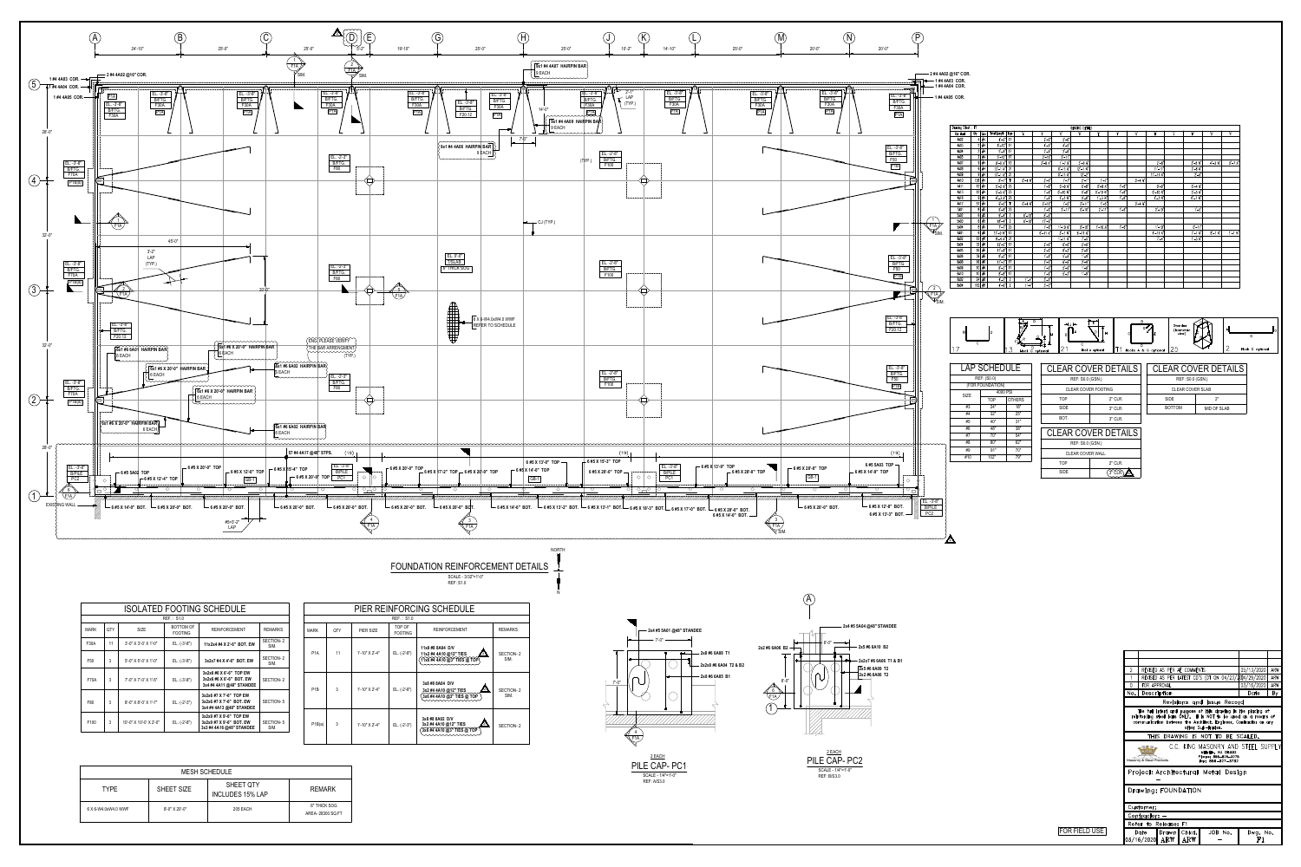

|  |                  |     |                |                          | <b>PIER REINFORCING SCHEDU</b>                                   |  |  |  |  |  |
|--|------------------|-----|----------------|--------------------------|------------------------------------------------------------------|--|--|--|--|--|
|  | REF.: \$1.0      |     |                |                          |                                                                  |  |  |  |  |  |
|  | <b>MARK</b>      | QTY | PIER SIZE      | TOP OF<br><b>FOOTING</b> | <b>REINFORCEME</b>                                               |  |  |  |  |  |
|  | P <sub>1</sub> A | 11  | 1'-10" X 2'-4" | EL. (-2'-8")             | 11x8 #8 8A04 D/V<br>11x2 #4 4A10 @12" TI<br>11x6 #4 4A10 @3" TIE |  |  |  |  |  |
|  | P <sub>1</sub> B | 3   | 1'-10" X 2'-4" | EL. (-2'-8")             | 3x8 #8 8A04 D/V<br>3x2 #4 4A10 @12" TII<br>3x6 #4 4A10 @3" TIE   |  |  |  |  |  |
|  | P1B(a)           | 3   | 1'-10" X 2'-4" | EL. (-2'-3")             | 3x8 #8 8A02 D/V<br>3x2 #4 4A10 @12" TIE<br>3x6 #4 4A10 @3" TIES  |  |  |  |  |  |

| ISOLATED FOOTING SCHEDULE |            |                              |                                    |                                                                                 |                   |  |  |  |  |  |
|---------------------------|------------|------------------------------|------------------------------------|---------------------------------------------------------------------------------|-------------------|--|--|--|--|--|
|                           | REF.: S1.0 |                              |                                    |                                                                                 |                   |  |  |  |  |  |
| MARK                      | QTY        | <b>SIZE</b>                  | <b>BOTTOM OF</b><br><b>FOOTING</b> | <b>REINFORCEMENT</b>                                                            | <b>REMARKS</b>    |  |  |  |  |  |
| <b>F30A</b>               | 11         | 3'-0" X 3'-0' X 1'-0"        | $EL. (-3'-8")$                     | 11x2x4 #4 X 2'-6" BOT. EW                                                       | SECTION-2<br>SIM. |  |  |  |  |  |
| F50                       | 3          | $5'$ -0" $X$ 5'-0' $X$ 1'-0" | $EL. (-3'-8")$                     | 3x2x7 #4 X 4'-6" BOT. EW                                                        | SECTION-2<br>SIM. |  |  |  |  |  |
| <b>F70A</b>               | 3          | 7'-0" X 7'-0' X 1'-5"        | $EL. (-3'-8")$                     | 3x2x6 #6 X 6'-6" TOP EW<br>3x2x6 #6 X 6'-6" BOT. EW<br>3x4 #4 4A11 @48" STANDEE | SECTION-2         |  |  |  |  |  |
| F80                       | 3          | 8'-0" X 8'-0' X 1'-7"        | EL. (-2'-3")                       | 3x2x6 #7 X 7'-6" TOP EW<br>3x2x6 #7 X 7'-6" BOT. EW<br>3x4 #4 4A13 @48" STANDEE | SECTION-5         |  |  |  |  |  |
| F <sub>100</sub>          | 3          | 10'-0" X 10'-0' X 2'-0"      | EL. (-2'-8")                       | 3x2x9 #7 X 9'-6" TOP EW<br>3x2x9 #7 X 9'-6" BOT. EW<br>3x3 #4 4A16 @48" STANDEE | SECTION-5<br>SIM. |  |  |  |  |  |

| <b>MESH SCHEDULE</b> |                   |                                      |                                   |  |  |  |  |
|----------------------|-------------------|--------------------------------------|-----------------------------------|--|--|--|--|
| <b>TYPE</b>          | <b>SHEET SIZE</b> | SHEET QTY<br><b>INCLUDES 15% LAP</b> | <b>REMARK</b>                     |  |  |  |  |
| 6-W4.0xW4.0 WWF      | 8'-0" X 20'-0"    | 205 EACH                             | 6" THICK SOG<br>AREA- 28300 SQ.FT |  |  |  |  |

|                                                                 | - 1 #4 4A03 COR.<br>$\sqrt{\frac{F1}{A}}$<br>$\mathscr{V}_{\mathsf{SIM.}}$<br>$\left(2\right)$<br>$\sqrt{\frac{F1A}{F1}}$<br>$\mathscr{V}_{\mathsf{SIM.}}$ | 2 #4 4A02 @16" COR.<br>1 #4 4A04 COR.<br>1 #4 4A05 COR.<br>Drawing Sheet: F1<br>Qty<br>Bar Mark<br>Size<br>#4<br>4A02<br>$2 \frac{1}{14}$<br>4A03<br>$2 \frac{4}{7}$<br>4A04<br>$2 \frac{1}{14}$<br>4A05<br>$9 \#4$<br>4A07<br>$9 \frac{4}{1}$<br>4A08<br>$9 \frac{4}{1}$<br>4A09<br>$136$ #4<br>4A10<br>$12 \frac{4}{14}$<br>4A11<br>$12 \frac{4}{14}$<br>4A13<br>$9 \#4$<br>4A16<br>$57 \frac{4}{1}$<br>4A17<br>$8 \mid \frac{1}{5}$<br>5A01<br>$6 \mid \#5$<br>5A02<br>$6 \frac{1}{5}$<br>5A03<br>$8 \frac{1}{15}$<br>5A04<br>$6 \mid \#6$<br>6A01<br>$12 \frac{1}{16}$<br>6A02<br>$32 \frac{1}{16}$<br>6A04<br>$16$ #6<br>6A05<br>$36 \frac{1}{16}$<br>6A06<br>$16$ #6<br>6A08<br>$10 \frac{46}{ }$<br>6A09<br>$10 \frac{46}{ }$<br>6A10<br>$24$ #8<br>8A02<br>$112$ #8<br>8A04<br>B<br>C<br>17<br><b>LAP SCHEDULE</b> | Total Length<br>$4'-0$ "<br>$8' - 10''$ 17<br>$5'-4$ " 17<br>$5' - 10''$ 17<br>$9'-0 \t x''$ 13<br>$13'-1$ $\mathbf{X}^n$ 21<br>$13'-1$ $\frac{1}{2}$ 21<br>$8'-1$ "<br>$5' - 2 \times 2$ 25<br>$5' - 5 \frac{1}{2}$ 25<br>$6' - 3 \times 2$ 25<br>$9' - 5"$<br>$9' - 8''$ 25<br>$9' - 4''$<br>$18' - 4"$<br>$7' - 7''$ 25<br>$17' - 0 \times 10^{-1}$ 13<br>$9' - 4 \times 21$<br>$12'-0$ " 17<br>$11' - 8''$ 17<br>$9'-0''$ 17<br>$11'-3''$ 17<br>$8' - 3''$ 17<br>$8'-8''$ 17<br>$4' - 5''$ 2<br>$4'-6"$<br>ID.<br>REF: (S0.0)<br>(FOR FOUNDATION) | Type<br>'A'<br>17<br>T1<br>$0' - 4 \times$<br>$0' - 4 \times$<br>T1<br>$\overline{2}$<br>$0' - 10"$<br>$\overline{2}$<br>$0' - 10"$<br>$1' - 4''$<br>$1'-4"$<br>$\overline{2}$<br>$\circ$<br>$K_{\bullet}$<br>3<br>Hook G optional | 'B'<br>$2^{\prime}-0^{\prime\prime}$<br>$4' - 5"$<br>$2^{\prime} - 8^{\prime\prime}$<br>$2'-11$<br>$3' - 8 \times 7$<br>$2^{\prime}$ -1"<br>$1'-6$<br>$1'-6$ "<br>$1'-6$<br>$2'-11$<br>$1'-6$<br>$8 - 6"$<br>$17'-6$ "<br>$1'-6$ "<br>$6' - 11 \frac{1}{2}$<br>$2^{\prime} - 9^{\prime\prime}$<br>$2^{\prime} - 9^{\prime\prime}$<br>$1' - 9''$<br>$2^{\prime}$ -0"<br>$1'-0''$<br>$1'-9''$<br>$3'-1$<br>$3'-2$ | $^{\prime}$ C $^{\prime}$<br>$2^{\prime}$ -0"<br>$4'-5''$<br>$2^{\prime} - 8^{\prime\prime}$<br>$2'-11''$<br>$1' - 7 \times$<br>$0' - 11 \frac{1}{2}$<br>$0' - 11 \frac{1}{2}$<br>$1' - 7'$<br>$0' - 9 \nmid x$<br>$0'-10$ %<br>$1' - 3$ $\frac{1}{4}$<br>$1'-5$<br>$2' - 11"$<br>$1' - 10 \frac{1}{2}$<br>$3' - 1$ $\chi$ <sup>"</sup><br>$1'$ -11 $X''$<br>$6 - 6''$<br>$6'-2$<br>$5'-6$<br>$6'-6$<br>$5'-6$<br>$5'-2$<br><b>→</b> J ←<br><b>IA</b><br>B<br>2 <sup>1</sup><br><b>CLEAR COVER DETAILS</b> | <b>BENDING DETAILS</b><br>'Dʻ<br>$3' - 8 \frac{1}{2}$<br>$12' - 1$ $\frac{1}{4}$<br>$12 - 2$<br>$2'-1$<br>$0' - 8''$<br>$0'-8''$<br>$0'-8''$<br>$2'-11''$<br>$0' - 10"$<br>$0' - 10"$<br>$6'$ -11 $\frac{1}{2}$<br>$7 - 5"$<br>$2^{\prime} - 9^{\prime\prime}$<br>$2^{\prime} - 9^{\prime\prime}$<br>$1' - 9''$<br>$2^{\prime} - 9^{\prime\prime}$<br>$1' - 9''$<br>$1' - 9''$<br>C<br>REF: S0.0 (GSN.) | ${\mathsf E}'$<br>$1' - 7''$<br>$0'-9 \times$<br>$0' - 10 \frac{x^n}{n}$<br>$1' - 3 \cancel{3}'$<br>$1' - 5''$<br>$2'-11''$<br>$1' - 10 \frac{1}{2}$<br>$\overline{\mathsf{K}}$<br>D<br>H<br>Hook A optional<br>CLEAR COVER FOOTING | 'n.<br>$1'-6$ "<br>$1'-6$ "<br>$1'-6$ "<br>$1'-6$ "<br>$1'-6$ "<br>T1                                                  | $\mathrm{G}^{\prime}$                   | Ή<br>$2' - 8''$<br>$11' - 11"$<br>$11'-11 \; \text{X}^n$<br>$0' - 4 \times''$<br>$0' - 10 \frac{1}{2}$<br>$1' - 3'$<br>$0' - 4 \times''$<br>$2' - 10''$<br>$1' - 10"$<br>$4'$ -11 $X''$<br>B<br>Hooks A & G optional | 'J'<br>$0' - 9''$<br>$7' - 4''$<br>Standee<br>  25<br><b>CLEAR COVER DETAILS</b> | 'K'<br>$3' - 8 \times$<br>$2'-6$ $\chi$ <sup>*</sup><br>$2'-6$<br>$0' - 4 \nmid X''$<br>$0' - 5 \times$ "<br>$0' - 7$ $\chi''$<br>$1' - 5"$<br>$0' - 11"$<br>$7' - 1 \; K''$<br>$1' - 5 \times$<br>(Isometric<br>view)<br>REF: S0.0 (GSN.)<br>CLEAR COVER SLAB | '0'<br>$4' - 3 \times$ "<br>$8' - 1 \; \text{\AA}^n$                                 | $\mathsf{R}'$<br>$0' - 7 \times$<br>$1' - 1 \times$<br>A<br>$\mathbf{2}$ | B<br>Hook G optional                                                                                                                                                                                                                                                                                                                     |                         |
|-----------------------------------------------------------------|------------------------------------------------------------------------------------------------------------------------------------------------------------|----------------------------------------------------------------------------------------------------------------------------------------------------------------------------------------------------------------------------------------------------------------------------------------------------------------------------------------------------------------------------------------------------------------------------------------------------------------------------------------------------------------------------------------------------------------------------------------------------------------------------------------------------------------------------------------------------------------------------------------------------------------------------------------------------------------------------|-------------------------------------------------------------------------------------------------------------------------------------------------------------------------------------------------------------------------------------------------------------------------------------------------------------------------------------------------------------------------------------------------------------------------------------------------------------------------------------------------------------------------------------------------------|------------------------------------------------------------------------------------------------------------------------------------------------------------------------------------------------------------------------------------|-----------------------------------------------------------------------------------------------------------------------------------------------------------------------------------------------------------------------------------------------------------------------------------------------------------------------------------------------------------------------------------------------------------------|------------------------------------------------------------------------------------------------------------------------------------------------------------------------------------------------------------------------------------------------------------------------------------------------------------------------------------------------------------------------------------------------------------------------------------------------------------------------------------------------------------|---------------------------------------------------------------------------------------------------------------------------------------------------------------------------------------------------------------------------------------------------------------------------------------------------------------------------------------------------------------------------------------------------------|-------------------------------------------------------------------------------------------------------------------------------------------------------------------------------------------------------------------------------------|------------------------------------------------------------------------------------------------------------------------|-----------------------------------------|----------------------------------------------------------------------------------------------------------------------------------------------------------------------------------------------------------------------|----------------------------------------------------------------------------------|----------------------------------------------------------------------------------------------------------------------------------------------------------------------------------------------------------------------------------------------------------------|--------------------------------------------------------------------------------------|--------------------------------------------------------------------------|------------------------------------------------------------------------------------------------------------------------------------------------------------------------------------------------------------------------------------------------------------------------------------------------------------------------------------------|-------------------------|
| ---! 1-<br>$\bigcirc$<br>$\circ$ $\Box$<br><b>REAL PROPERTY</b> | $EL. -3' - 8"$<br><b>B/PILE</b><br>PC <sub>2</sub>                                                                                                         | <b>SIZE</b><br>#3<br>#4<br>#5<br>#6<br>$\#7$<br>#8<br>#9<br>#10<br>$\mathbf{Z}$                                                                                                                                                                                                                                                                                                                                                                                                                                                                                                                                                                                                                                                                                                                                            | 4000 PSI<br>TOP<br>24"<br>32"<br>40"<br>48"<br>70"<br>80"<br>91"<br>102"                                                                                                                                                                                                                                                                                                                                                                                                                                                                              | <b>OTHERS</b><br>18"<br>25"<br>31"<br>38"<br>54"<br>62"<br>70"<br>79"                                                                                                                                                              |                                                                                                                                                                                                                                                                                                                                                                                                                 | <b>TOP</b><br><b>SIDE</b><br>BOT.<br><b>CLEAR COVER DETAILS</b><br><b>TOP</b><br>${\sf SIDE}$                                                                                                                                                                                                                                                                                                                                                                                                              | REF: S0.0 (GSN.)<br>CLEAR COVER WALL                                                                                                                                                                                                                                                                                                                                                                    |                                                                                                                                                                                                                                     | 2" CLR.<br>3" CLR.<br>3" CLR.<br>2" CLR.<br>$\widehat{(\mathbb{C}\widehat{\mathbb{C}}\mathbb{R})}\widehat{\mathbb{A}}$ |                                         |                                                                                                                                                                                                                      | SIDE<br><b>BOTTOM</b>                                                            |                                                                                                                                                                                                                                                                | 2"<br><b>MID OF SLAB</b>                                                             |                                                                          |                                                                                                                                                                                                                                                                                                                                          |                         |
|                                                                 |                                                                                                                                                            |                                                                                                                                                                                                                                                                                                                                                                                                                                                                                                                                                                                                                                                                                                                                                                                                                            |                                                                                                                                                                                                                                                                                                                                                                                                                                                                                                                                                       |                                                                                                                                                                                                                                    |                                                                                                                                                                                                                                                                                                                                                                                                                 |                                                                                                                                                                                                                                                                                                                                                                                                                                                                                                            |                                                                                                                                                                                                                                                                                                                                                                                                         |                                                                                                                                                                                                                                     |                                                                                                                        | $\overline{2}$<br>$\overline{0}$<br>No. | FOR APPROVAL<br>Description<br><b>RING</b><br>Masonry & Steel Products<br>Project: Architectural Metal Design<br>Drawing: FOUNDATION<br>Customer:<br>Contractor: $-$<br>Refer to Release: F1                         | REVISED AS PER AE COMMENTS<br>THIS DRAWING IS NOT TO BE SCALED.                  | Revisions and Issue Record                                                                                                                                                                                                                                     | other Sub-trades.<br>Millville, NJ 08332<br>Phone: 856-825-3275<br>Fax: 856-327-3732 |                                                                          | 05/13/2020<br>REVISED AS PER LATEST CD'S (DT ON 04/23/2004/29/2020<br> 03/16/2020 <br>Date<br>The full intent and purpose of this drawing is the placing of<br>reinforcing steel bars ONLY. It is NOT to be used as a means of<br>communication between the Architect, Engineer, Contractor or any<br>C.C. KING MASONRY AND STEEL SUPPLY | ARW<br>ARW<br>ARW<br>By |

FOR FIELD USE

Date Drawn Chkd.<br>03/16/2020 ARW ARW

JOB No.

Dwg. No.<br>F1